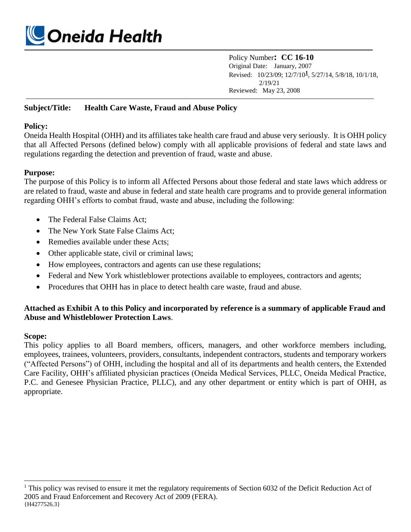

Policy Number**: CC 16-10** Original Date: January, 2007 Revised: 10/23/09; 12/7/10**<sup>1</sup>** , 5/27/14, 5/8/18, 10/1/18, 2/19/21 Reviewed: May 23, 2008

## **Subject/Title: Health Care Waste, Fraud and Abuse Policy**

### **Policy:**

Oneida Health Hospital (OHH) and its affiliates take health care fraud and abuse very seriously. It is OHH policy that all Affected Persons (defined below) comply with all applicable provisions of federal and state laws and regulations regarding the detection and prevention of fraud, waste and abuse.

### **Purpose:**

The purpose of this Policy is to inform all Affected Persons about those federal and state laws which address or are related to fraud, waste and abuse in federal and state health care programs and to provide general information regarding OHH's efforts to combat fraud, waste and abuse, including the following:

- The Federal False Claims Act:
- The New York State False Claims Act;
- Remedies available under these Acts;
- Other applicable state, civil or criminal laws;
- How employees, contractors and agents can use these regulations;
- Federal and New York whistleblower protections available to employees, contractors and agents;
- Procedures that OHH has in place to detect health care waste, fraud and abuse.

### **Attached as Exhibit A to this Policy and incorporated by reference is a summary of applicable Fraud and Abuse and Whistleblower Protection Laws**.

#### **Scope:**

 $\overline{a}$ 

This policy applies to all Board members, officers, managers, and other workforce members including, employees, trainees, volunteers, providers, consultants, independent contractors, students and temporary workers ("Affected Persons") of OHH, including the hospital and all of its departments and health centers, the Extended Care Facility, OHH's affiliated physician practices (Oneida Medical Services, PLLC, Oneida Medical Practice, P.C. and Genesee Physician Practice, PLLC), and any other department or entity which is part of OHH, as appropriate.

<sup>{</sup>H4277526.3} <sup>1</sup> This policy was revised to ensure it met the regulatory requirements of Section 6032 of the Deficit Reduction Act of 2005 and Fraud Enforcement and Recovery Act of 2009 (FERA).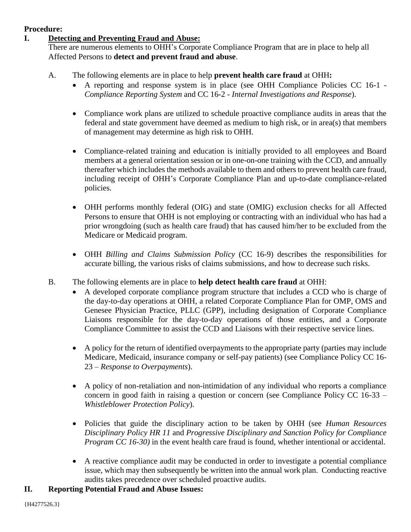## **Procedure:**

### **I. Detecting and Preventing Fraud and Abuse:**

There are numerous elements to OHH's Corporate Compliance Program that are in place to help all Affected Persons to **detect and prevent fraud and abuse**.

- A. The following elements are in place to help **prevent health care fraud** at OHH**:**
	- A reporting and response system is in place (see OHH Compliance Policies CC 16-1 *Compliance Reporting System* and CC 16-2 - *Internal Investigations and Response*).
	- Compliance work plans are utilized to schedule proactive compliance audits in areas that the federal and state government have deemed as medium to high risk, or in area(s) that members of management may determine as high risk to OHH.
	- Compliance-related training and education is initially provided to all employees and Board members at a general orientation session or in one-on-one training with the CCD, and annually thereafter which includes the methods available to them and others to prevent health care fraud, including receipt of OHH's Corporate Compliance Plan and up-to-date compliance-related policies.
	- OHH performs monthly federal (OIG) and state (OMIG) exclusion checks for all Affected Persons to ensure that OHH is not employing or contracting with an individual who has had a prior wrongdoing (such as health care fraud) that has caused him/her to be excluded from the Medicare or Medicaid program.
	- OHH *Billing and Claims Submission Policy* (CC 16-9) describes the responsibilities for accurate billing, the various risks of claims submissions, and how to decrease such risks.
- B. The following elements are in place to **help detect health care fraud** at OHH:
	- A developed corporate compliance program structure that includes a CCD who is charge of the day-to-day operations at OHH, a related Corporate Compliance Plan for OMP, OMS and Genesee Physician Practice, PLLC (GPP), including designation of Corporate Compliance Liaisons responsible for the day-to-day operations of those entities, and a Corporate Compliance Committee to assist the CCD and Liaisons with their respective service lines.
	- A policy for the return of identified overpayments to the appropriate party (parties may include Medicare, Medicaid, insurance company or self-pay patients) (see Compliance Policy CC 16- 23 – *Response to Overpayments*).
	- A policy of non-retaliation and non-intimidation of any individual who reports a compliance concern in good faith in raising a question or concern (see Compliance Policy CC 16-33 – *Whistleblower Protection Policy*).
	- Policies that guide the disciplinary action to be taken by OHH (see *Human Resources Disciplinary Policy HR 11* and *Progressive Disciplinary and Sanction Policy for Compliance Program CC 16-30)* in the event health care fraud is found, whether intentional or accidental.
	- A reactive compliance audit may be conducted in order to investigate a potential compliance issue, which may then subsequently be written into the annual work plan. Conducting reactive audits takes precedence over scheduled proactive audits.

## **II. Reporting Potential Fraud and Abuse Issues:**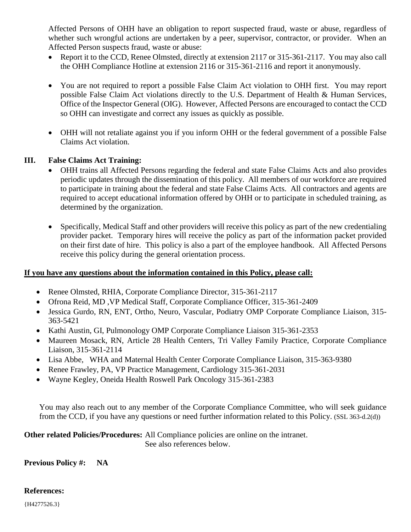Affected Persons of OHH have an obligation to report suspected fraud, waste or abuse, regardless of whether such wrongful actions are undertaken by a peer, supervisor, contractor, or provider. When an Affected Person suspects fraud, waste or abuse:

- Report it to the CCD, Renee Olmsted, directly at extension 2117 or 315-361-2117. You may also call the OHH Compliance Hotline at extension 2116 or 315-361-2116 and report it anonymously.
- You are not required to report a possible False Claim Act violation to OHH first. You may report possible False Claim Act violations directly to the U.S. Department of Health & Human Services, Office of the Inspector General (OIG). However, Affected Persons are encouraged to contact the CCD so OHH can investigate and correct any issues as quickly as possible.
- OHH will not retaliate against you if you inform OHH or the federal government of a possible False Claims Act violation.

### **III. False Claims Act Training:**

- OHH trains all Affected Persons regarding the federal and state False Claims Acts and also provides periodic updates through the dissemination of this policy. All members of our workforce are required to participate in training about the federal and state False Claims Acts. All contractors and agents are required to accept educational information offered by OHH or to participate in scheduled training, as determined by the organization.
- Specifically, Medical Staff and other providers will receive this policy as part of the new credentialing provider packet. Temporary hires will receive the policy as part of the information packet provided on their first date of hire. This policy is also a part of the employee handbook. All Affected Persons receive this policy during the general orientation process.

### **If you have any questions about the information contained in this Policy, please call:**

- Renee Olmsted, RHIA, Corporate Compliance Director, 315-361-2117
- Ofrona Reid, MD ,VP Medical Staff, Corporate Compliance Officer, 315-361-2409
- Jessica Gurdo, RN, ENT, Ortho, Neuro, Vascular, Podiatry OMP Corporate Compliance Liaison, 315- 363-5421
- Kathi Austin, GI, Pulmonology OMP Corporate Compliance Liaison 315-361-2353
- Maureen Mosack, RN, Article 28 Health Centers, Tri Valley Family Practice, Corporate Compliance Liaison, 315-361-2114
- Lisa Abbe, WHA and Maternal Health Center Corporate Compliance Liaison, 315-363-9380
- Renee Frawley, PA, VP Practice Management, Cardiology 315-361-2031
- Wayne Kegley, Oneida Health Roswell Park Oncology 315-361-2383

You may also reach out to any member of the Corporate Compliance Committee, who will seek guidance from the CCD, if you have any questions or need further information related to this Policy. (SSL 363-d.2(d))

### **Other related Policies/Procedures:** All Compliance policies are online on the intranet. See also references below.

**Previous Policy #: NA**

#### **References:**

{H4277526.3}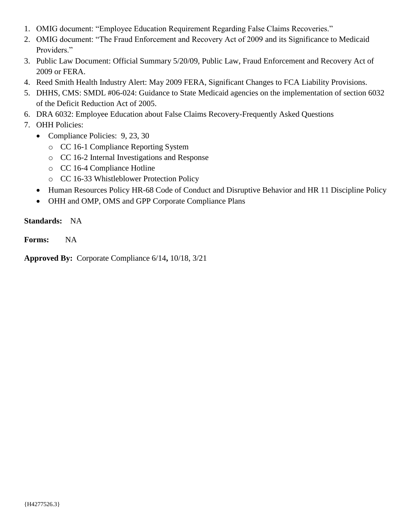- 1. OMIG document: "Employee Education Requirement Regarding False Claims Recoveries."
- 2. OMIG document: "The Fraud Enforcement and Recovery Act of 2009 and its Significance to Medicaid Providers."
- 3. Public Law Document: Official Summary 5/20/09, Public Law, Fraud Enforcement and Recovery Act of 2009 or FERA.
- 4. Reed Smith Health Industry Alert: May 2009 FERA, Significant Changes to FCA Liability Provisions.
- 5. DHHS, CMS: SMDL #06-024: Guidance to State Medicaid agencies on the implementation of section 6032 of the Deficit Reduction Act of 2005.
- 6. DRA 6032: Employee Education about False Claims Recovery-Frequently Asked Questions
- 7. OHH Policies:
	- Compliance Policies: 9, 23, 30
		- o CC 16-1 Compliance Reporting System
		- o CC 16-2 Internal Investigations and Response
		- o CC 16-4 Compliance Hotline
		- o CC 16-33 Whistleblower Protection Policy
	- Human Resources Policy HR-68 Code of Conduct and Disruptive Behavior and HR 11 Discipline Policy
	- OHH and OMP, OMS and GPP Corporate Compliance Plans

**Standards:** NA

**Forms:** NA

**Approved By:** Corporate Compliance 6/14**,** 10/18, 3/21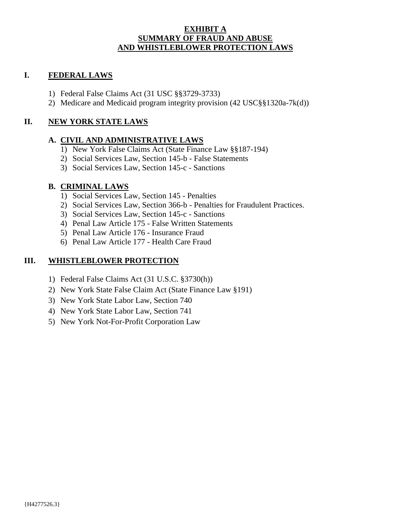### **EXHIBIT A SUMMARY OF FRAUD AND ABUSE AND WHISTLEBLOWER PROTECTION LAWS**

### **I. FEDERAL LAWS**

- 1) Federal False Claims Act (31 USC §§3729-3733)
- 2) Medicare and Medicaid program integrity provision (42 USC§§1320a-7k(d))

### **II. NEW YORK STATE LAWS**

### **A. CIVIL AND ADMINISTRATIVE LAWS**

- 1) New York False Claims Act (State Finance Law §§187-194)
- 2) Social Services Law, Section 145-b False Statements
- 3) Social Services Law, Section 145-c Sanctions

### **B. CRIMINAL LAWS**

- 1) Social Services Law, Section 145 Penalties
- 2) Social Services Law, Section 366-b Penalties for Fraudulent Practices.
- 3) Social Services Law, Section 145-c Sanctions
- 4) Penal Law Article 175 False Written Statements
- 5) Penal Law Article 176 Insurance Fraud
- 6) Penal Law Article 177 Health Care Fraud

### **III. WHISTLEBLOWER PROTECTION**

- 1) Federal False Claims Act (31 U.S.C. §3730(h))
- 2) New York State False Claim Act (State Finance Law §191)
- 3) New York State Labor Law, Section 740
- 4) New York State Labor Law, Section 741
- 5) New York Not-For-Profit Corporation Law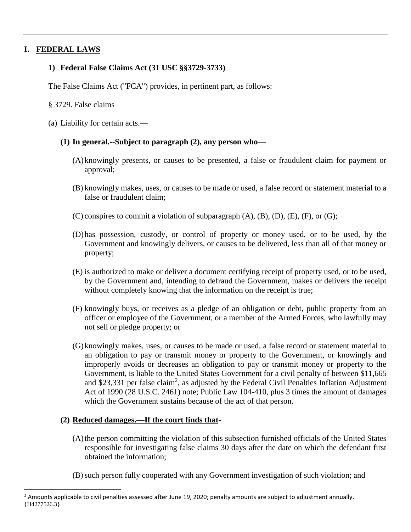### **I. FEDERAL LAWS**

 $\overline{a}$ 

### **1) Federal False Claims Act (31 USC §§3729-3733)**

The False Claims Act ("FCA") provides, in pertinent part, as follows:

#### § 3729. False claims

(a) Liability for certain acts.—

### **(1) In general.--Subject to paragraph (2), any person who**—

- (A)knowingly presents, or causes to be presented, a false or fraudulent claim for payment or approval;
- (B) knowingly makes, uses, or causes to be made or used, a false record or statement material to a false or fraudulent claim;
- $(C)$  conspires to commit a violation of subparagraph  $(A)$ ,  $(B)$ ,  $(D)$ ,  $(E)$ ,  $(F)$ , or  $(G)$ ;
- (D)has possession, custody, or control of property or money used, or to be used, by the Government and knowingly delivers, or causes to be delivered, less than all of that money or property;
- (E) is authorized to make or deliver a document certifying receipt of property used, or to be used, by the Government and, intending to defraud the Government, makes or delivers the receipt without completely knowing that the information on the receipt is true;
- (F) knowingly buys, or receives as a pledge of an obligation or debt, public property from an officer or employee of the Government, or a member of the Armed Forces, who lawfully may not sell or pledge property; or
- (G)knowingly makes, uses, or causes to be made or used, a false record or statement material to an obligation to pay or transmit money or property to the Government, or knowingly and improperly avoids or decreases an obligation to pay or transmit money or property to the Government, is liable to the United States Government for a civil penalty of between \$11,665 and \$23,331 per false claim<sup>2</sup>, as adjusted by the Federal Civil Penalties Inflation Adjustment Act of 1990 (28 U.S.C. 2461) note; Public Law 104-410, plus 3 times the amount of damages which the Government sustains because of the act of that person.

### **(2) Reduced damages.—If the court finds that-**

- (A)the person committing the violation of this subsection furnished officials of the United States responsible for investigating false claims 30 days after the date on which the defendant first obtained the information;
- (B)such person fully cooperated with any Government investigation of such violation; and

<sup>{</sup>H4277526.3} <sup>2</sup> Amounts applicable to civil penalties assessed after June 19, 2020; penalty amounts are subject to adjustment annually.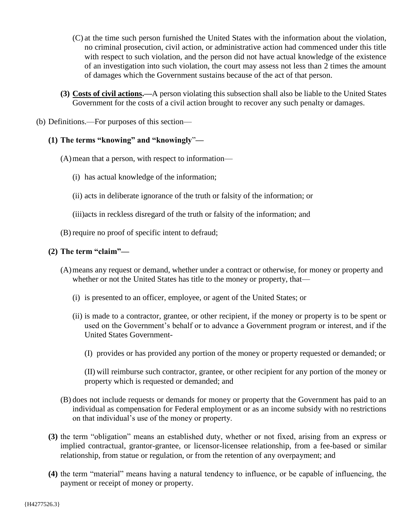- (C) at the time such person furnished the United States with the information about the violation, no criminal prosecution, civil action, or administrative action had commenced under this title with respect to such violation, and the person did not have actual knowledge of the existence of an investigation into such violation, the court may assess not less than 2 times the amount of damages which the Government sustains because of the act of that person.
- **(3) Costs of civil actions.—**A person violating this subsection shall also be liable to the United States Government for the costs of a civil action brought to recover any such penalty or damages.
- (b) Definitions.—For purposes of this section—

### **(1) The terms "knowing" and "knowingly**"**—**

- (A)mean that a person, with respect to information—
	- (i) has actual knowledge of the information;
	- (ii) acts in deliberate ignorance of the truth or falsity of the information; or
	- (iii)acts in reckless disregard of the truth or falsity of the information; and
- (B) require no proof of specific intent to defraud;

### **(2) The term "claim"—**

- (A)means any request or demand, whether under a contract or otherwise, for money or property and whether or not the United States has title to the money or property, that—
	- (i) is presented to an officer, employee, or agent of the United States; or
	- (ii) is made to a contractor, grantee, or other recipient, if the money or property is to be spent or used on the Government's behalf or to advance a Government program or interest, and if the United States Government-
		- (I) provides or has provided any portion of the money or property requested or demanded; or

(II) will reimburse such contractor, grantee, or other recipient for any portion of the money or property which is requested or demanded; and

- (B) does not include requests or demands for money or property that the Government has paid to an individual as compensation for Federal employment or as an income subsidy with no restrictions on that individual's use of the money or property.
- **(3)** the term "obligation" means an established duty, whether or not fixed, arising from an express or implied contractual, grantor-grantee, or licensor-licensee relationship, from a fee-based or similar relationship, from statue or regulation, or from the retention of any overpayment; and
- **(4)** the term "material" means having a natural tendency to influence, or be capable of influencing, the payment or receipt of money or property.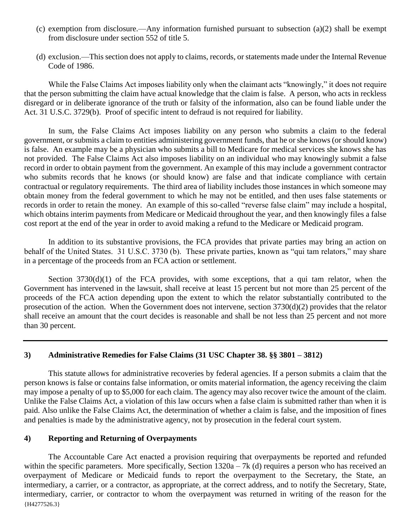- (c) exemption from disclosure.—Any information furnished pursuant to subsection (a)(2) shall be exempt from disclosure under section 552 of title 5.
- (d) exclusion.—This section does not apply to claims, records, or statements made under the Internal Revenue Code of 1986.

While the False Claims Act imposes liability only when the claimant acts "knowingly," it does not require that the person submitting the claim have actual knowledge that the claim is false. A person, who acts in reckless disregard or in deliberate ignorance of the truth or falsity of the information, also can be found liable under the Act. 31 U.S.C. 3729(b). Proof of specific intent to defraud is not required for liability.

In sum, the False Claims Act imposes liability on any person who submits a claim to the federal government, or submits a claim to entities administering government funds, that he or she knows (or should know) is false. An example may be a physician who submits a bill to Medicare for medical services she knows she has not provided. The False Claims Act also imposes liability on an individual who may knowingly submit a false record in order to obtain payment from the government. An example of this may include a government contractor who submits records that he knows (or should know) are false and that indicate compliance with certain contractual or regulatory requirements. The third area of liability includes those instances in which someone may obtain money from the federal government to which he may not be entitled, and then uses false statements or records in order to retain the money. An example of this so-called "reverse false claim" may include a hospital, which obtains interim payments from Medicare or Medicaid throughout the year, and then knowingly files a false cost report at the end of the year in order to avoid making a refund to the Medicare or Medicaid program.

In addition to its substantive provisions, the FCA provides that private parties may bring an action on behalf of the United States. 31 U.S.C. 3730 (b). These private parties, known as "qui tam relators," may share in a percentage of the proceeds from an FCA action or settlement.

Section  $3730(d)(1)$  of the FCA provides, with some exceptions, that a qui tam relator, when the Government has intervened in the lawsuit, shall receive at least 15 percent but not more than 25 percent of the proceeds of the FCA action depending upon the extent to which the relator substantially contributed to the prosecution of the action. When the Government does not intervene, section 3730(d)(2) provides that the relator shall receive an amount that the court decides is reasonable and shall be not less than 25 percent and not more than 30 percent.

#### **3) Administrative Remedies for False Claims (31 USC Chapter 38. §§ 3801 – 3812)**

This statute allows for administrative recoveries by federal agencies. If a person submits a claim that the person knows is false or contains false information, or omits material information, the agency receiving the claim may impose a penalty of up to \$5,000 for each claim. The agency may also recover twice the amount of the claim. Unlike the False Claims Act, a violation of this law occurs when a false claim is submitted rather than when it is paid. Also unlike the False Claims Act, the determination of whether a claim is false, and the imposition of fines and penalties is made by the administrative agency, not by prosecution in the federal court system.

#### **4) Reporting and Returning of Overpayments**

{H4277526.3} The Accountable Care Act enacted a provision requiring that overpayments be reported and refunded within the specific parameters. More specifically, Section  $1320a - 7k$  (d) requires a person who has received an overpayment of Medicare or Medicaid funds to report the overpayment to the Secretary, the State, an intermediary, a carrier, or a contractor, as appropriate, at the correct address, and to notify the Secretary, State, intermediary, carrier, or contractor to whom the overpayment was returned in writing of the reason for the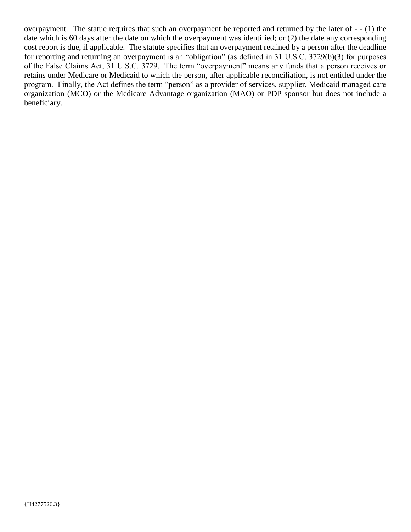overpayment. The statue requires that such an overpayment be reported and returned by the later of - - (1) the date which is 60 days after the date on which the overpayment was identified; or (2) the date any corresponding cost report is due, if applicable. The statute specifies that an overpayment retained by a person after the deadline for reporting and returning an overpayment is an "obligation" (as defined in 31 U.S.C. 3729(b)(3) for purposes of the False Claims Act, 31 U.S.C. 3729. The term "overpayment" means any funds that a person receives or retains under Medicare or Medicaid to which the person, after applicable reconciliation, is not entitled under the program. Finally, the Act defines the term "person" as a provider of services, supplier, Medicaid managed care organization (MCO) or the Medicare Advantage organization (MAO) or PDP sponsor but does not include a beneficiary.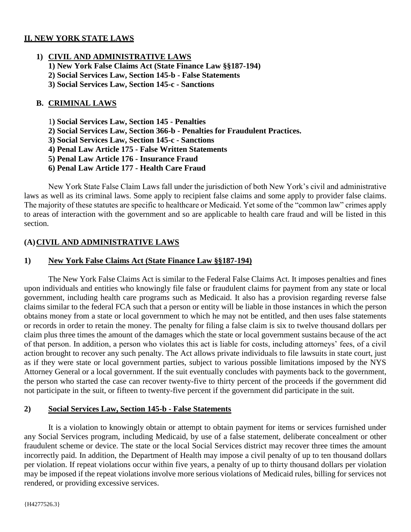#### **II. NEW YORK STATE LAWS**

# **1) CIVIL AND ADMINISTRATIVE LAWS**

- **1) New York False Claims Act (State Finance Law §§187-194)**
- **2) Social Services Law, Section 145-b - False Statements**
- **3) Social Services Law, Section 145-c - Sanctions**

# **B. CRIMINAL LAWS**

- 1**) Social Services Law, Section 145 - Penalties**
- **2) Social Services Law, Section 366-b - Penalties for Fraudulent Practices.**
- **3) Social Services Law, Section 145-c - Sanctions**
- **4) Penal Law Article 175 - False Written Statements**
- **5) Penal Law Article 176 - Insurance Fraud**
- **6) Penal Law Article 177 - Health Care Fraud**

New York State False Claim Laws fall under the jurisdiction of both New York's civil and administrative laws as well as its criminal laws. Some apply to recipient false claims and some apply to provider false claims. The majority of these statutes are specific to healthcare or Medicaid. Yet some of the "common law" crimes apply to areas of interaction with the government and so are applicable to health care fraud and will be listed in this section.

## **(A)CIVIL AND ADMINISTRATIVE LAWS**

### **1) New York False Claims Act (State Finance Law §§187-194)**

The New York False Claims Act is similar to the Federal False Claims Act. It imposes penalties and fines upon individuals and entities who knowingly file false or fraudulent claims for payment from any state or local government, including health care programs such as Medicaid. It also has a provision regarding reverse false claims similar to the federal FCA such that a person or entity will be liable in those instances in which the person obtains money from a state or local government to which he may not be entitled, and then uses false statements or records in order to retain the money. The penalty for filing a false claim is six to twelve thousand dollars per claim plus three times the amount of the damages which the state or local government sustains because of the act of that person. In addition, a person who violates this act is liable for costs, including attorneys' fees, of a civil action brought to recover any such penalty. The Act allows private individuals to file lawsuits in state court, just as if they were state or local government parties, subject to various possible limitations imposed by the NYS Attorney General or a local government. If the suit eventually concludes with payments back to the government, the person who started the case can recover twenty-five to thirty percent of the proceeds if the government did not participate in the suit, or fifteen to twenty-five percent if the government did participate in the suit.

### **2) Social Services Law, Section 145-b - False Statements**

It is a violation to knowingly obtain or attempt to obtain payment for items or services furnished under any Social Services program, including Medicaid, by use of a false statement, deliberate concealment or other fraudulent scheme or device. The state or the local Social Services district may recover three times the amount incorrectly paid. In addition, the Department of Health may impose a civil penalty of up to ten thousand dollars per violation. If repeat violations occur within five years, a penalty of up to thirty thousand dollars per violation may be imposed if the repeat violations involve more serious violations of Medicaid rules, billing for services not rendered, or providing excessive services.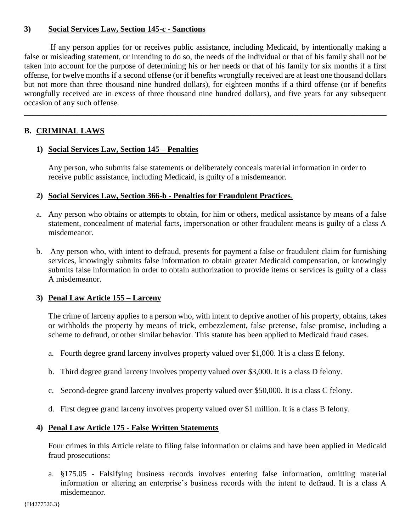### **3) Social Services Law, Section 145-c - Sanctions**

 If any person applies for or receives public assistance, including Medicaid, by intentionally making a false or misleading statement, or intending to do so, the needs of the individual or that of his family shall not be taken into account for the purpose of determining his or her needs or that of his family for six months if a first offense, for twelve months if a second offense (or if benefits wrongfully received are at least one thousand dollars but not more than three thousand nine hundred dollars), for eighteen months if a third offense (or if benefits wrongfully received are in excess of three thousand nine hundred dollars), and five years for any subsequent occasion of any such offense.

\_\_\_\_\_\_\_\_\_\_\_\_\_\_\_\_\_\_\_\_\_\_\_\_\_\_\_\_\_\_\_\_\_\_\_\_\_\_\_\_\_\_\_\_\_\_\_\_\_\_\_\_\_\_\_\_\_\_\_\_\_\_\_\_\_\_\_\_\_\_\_\_\_\_\_\_\_\_\_\_\_\_\_\_\_\_\_\_\_\_

## **B. CRIMINAL LAWS**

### **1) Social Services Law, Section 145 – Penalties**

Any person, who submits false statements or deliberately conceals material information in order to receive public assistance, including Medicaid, is guilty of a misdemeanor.

### **2) Social Services Law, Section 366-b - Penalties for Fraudulent Practices**.

- a. Any person who obtains or attempts to obtain, for him or others, medical assistance by means of a false statement, concealment of material facts, impersonation or other fraudulent means is guilty of a class A misdemeanor.
- b. Any person who, with intent to defraud, presents for payment a false or fraudulent claim for furnishing services, knowingly submits false information to obtain greater Medicaid compensation, or knowingly submits false information in order to obtain authorization to provide items or services is guilty of a class A misdemeanor.

### **3) Penal Law Article 155 – Larceny**

The crime of larceny applies to a person who, with intent to deprive another of his property, obtains, takes or withholds the property by means of trick, embezzlement, false pretense, false promise, including a scheme to defraud, or other similar behavior. This statute has been applied to Medicaid fraud cases.

- a. Fourth degree grand larceny involves property valued over \$1,000. It is a class E felony.
- b. Third degree grand larceny involves property valued over \$3,000. It is a class D felony.
- c. Second-degree grand larceny involves property valued over \$50,000. It is a class C felony.
- d. First degree grand larceny involves property valued over \$1 million. It is a class B felony.

#### **4) Penal Law Article 175 - False Written Statements**

Four crimes in this Article relate to filing false information or claims and have been applied in Medicaid fraud prosecutions:

a. §175.05 - Falsifying business records involves entering false information, omitting material information or altering an enterprise's business records with the intent to defraud. It is a class A misdemeanor.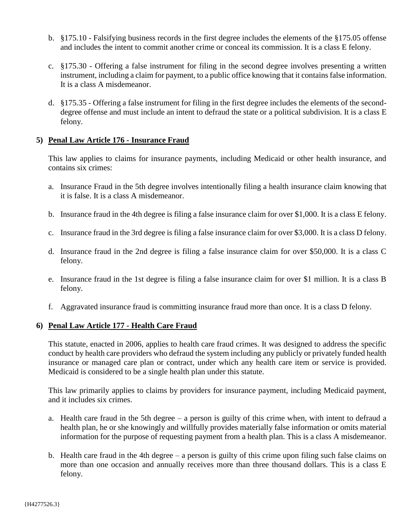- b. §175.10 Falsifying business records in the first degree includes the elements of the §175.05 offense and includes the intent to commit another crime or conceal its commission. It is a class E felony.
- c. §175.30 Offering a false instrument for filing in the second degree involves presenting a written instrument, including a claim for payment, to a public office knowing that it contains false information. It is a class A misdemeanor.
- d. §175.35 Offering a false instrument for filing in the first degree includes the elements of the seconddegree offense and must include an intent to defraud the state or a political subdivision. It is a class E felony.

### **5) Penal Law Article 176 - Insurance Fraud**

This law applies to claims for insurance payments, including Medicaid or other health insurance, and contains six crimes:

- a. Insurance Fraud in the 5th degree involves intentionally filing a health insurance claim knowing that it is false. It is a class A misdemeanor.
- b. Insurance fraud in the 4th degree is filing a false insurance claim for over \$1,000. It is a class E felony.
- c. Insurance fraud in the 3rd degree is filing a false insurance claim for over \$3,000. It is a class D felony.
- d. Insurance fraud in the 2nd degree is filing a false insurance claim for over \$50,000. It is a class C felony.
- e. Insurance fraud in the 1st degree is filing a false insurance claim for over \$1 million. It is a class B felony.
- f. Aggravated insurance fraud is committing insurance fraud more than once. It is a class D felony.

#### **6) Penal Law Article 177 - Health Care Fraud**

This statute, enacted in 2006, applies to health care fraud crimes. It was designed to address the specific conduct by health care providers who defraud the system including any publicly or privately funded health insurance or managed care plan or contract, under which any health care item or service is provided. Medicaid is considered to be a single health plan under this statute.

This law primarily applies to claims by providers for insurance payment, including Medicaid payment, and it includes six crimes.

- a. Health care fraud in the 5th degree a person is guilty of this crime when, with intent to defraud a health plan, he or she knowingly and willfully provides materially false information or omits material information for the purpose of requesting payment from a health plan. This is a class A misdemeanor.
- b. Health care fraud in the 4th degree a person is guilty of this crime upon filing such false claims on more than one occasion and annually receives more than three thousand dollars. This is a class E felony.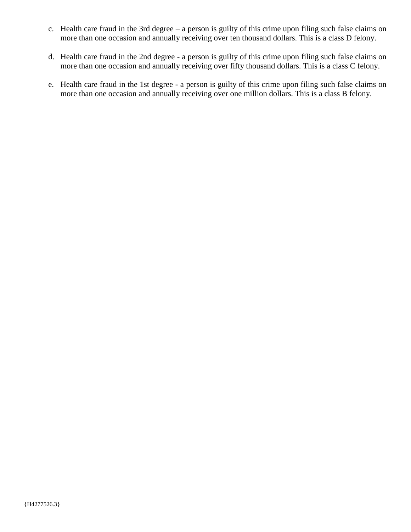- c. Health care fraud in the 3rd degree a person is guilty of this crime upon filing such false claims on more than one occasion and annually receiving over ten thousand dollars. This is a class D felony.
- d. Health care fraud in the 2nd degree a person is guilty of this crime upon filing such false claims on more than one occasion and annually receiving over fifty thousand dollars. This is a class C felony.
- e. Health care fraud in the 1st degree a person is guilty of this crime upon filing such false claims on more than one occasion and annually receiving over one million dollars. This is a class B felony.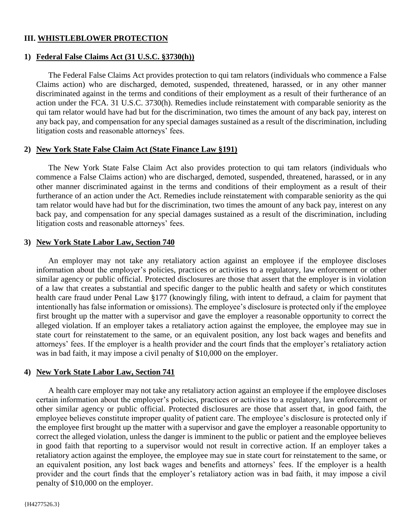#### **III. WHISTLEBLOWER PROTECTION**

#### **1) Federal False Claims Act (31 U.S.C. §3730(h))**

The Federal False Claims Act provides protection to qui tam relators (individuals who commence a False Claims action) who are discharged, demoted, suspended, threatened, harassed, or in any other manner discriminated against in the terms and conditions of their employment as a result of their furtherance of an action under the FCA. 31 U.S.C. 3730(h). Remedies include reinstatement with comparable seniority as the qui tam relator would have had but for the discrimination, two times the amount of any back pay, interest on any back pay, and compensation for any special damages sustained as a result of the discrimination, including litigation costs and reasonable attorneys' fees.

#### **2) New York State False Claim Act (State Finance Law §191)**

The New York State False Claim Act also provides protection to qui tam relators (individuals who commence a False Claims action) who are discharged, demoted, suspended, threatened, harassed, or in any other manner discriminated against in the terms and conditions of their employment as a result of their furtherance of an action under the Act. Remedies include reinstatement with comparable seniority as the qui tam relator would have had but for the discrimination, two times the amount of any back pay, interest on any back pay, and compensation for any special damages sustained as a result of the discrimination, including litigation costs and reasonable attorneys' fees.

#### **3) New York State Labor Law, Section 740**

An employer may not take any retaliatory action against an employee if the employee discloses information about the employer's policies, practices or activities to a regulatory, law enforcement or other similar agency or public official. Protected disclosures are those that assert that the employer is in violation of a law that creates a substantial and specific danger to the public health and safety or which constitutes health care fraud under Penal Law §177 (knowingly filing, with intent to defraud, a claim for payment that intentionally has false information or omissions). The employee's disclosure is protected only if the employee first brought up the matter with a supervisor and gave the employer a reasonable opportunity to correct the alleged violation. If an employer takes a retaliatory action against the employee, the employee may sue in state court for reinstatement to the same, or an equivalent position, any lost back wages and benefits and attorneys' fees. If the employer is a health provider and the court finds that the employer's retaliatory action was in bad faith, it may impose a civil penalty of \$10,000 on the employer.

#### **4) New York State Labor Law, Section 741**

A health care employer may not take any retaliatory action against an employee if the employee discloses certain information about the employer's policies, practices or activities to a regulatory, law enforcement or other similar agency or public official. Protected disclosures are those that assert that, in good faith, the employee believes constitute improper quality of patient care. The employee's disclosure is protected only if the employee first brought up the matter with a supervisor and gave the employer a reasonable opportunity to correct the alleged violation, unless the danger is imminent to the public or patient and the employee believes in good faith that reporting to a supervisor would not result in corrective action. If an employer takes a retaliatory action against the employee, the employee may sue in state court for reinstatement to the same, or an equivalent position, any lost back wages and benefits and attorneys' fees. If the employer is a health provider and the court finds that the employer's retaliatory action was in bad faith, it may impose a civil penalty of \$10,000 on the employer.